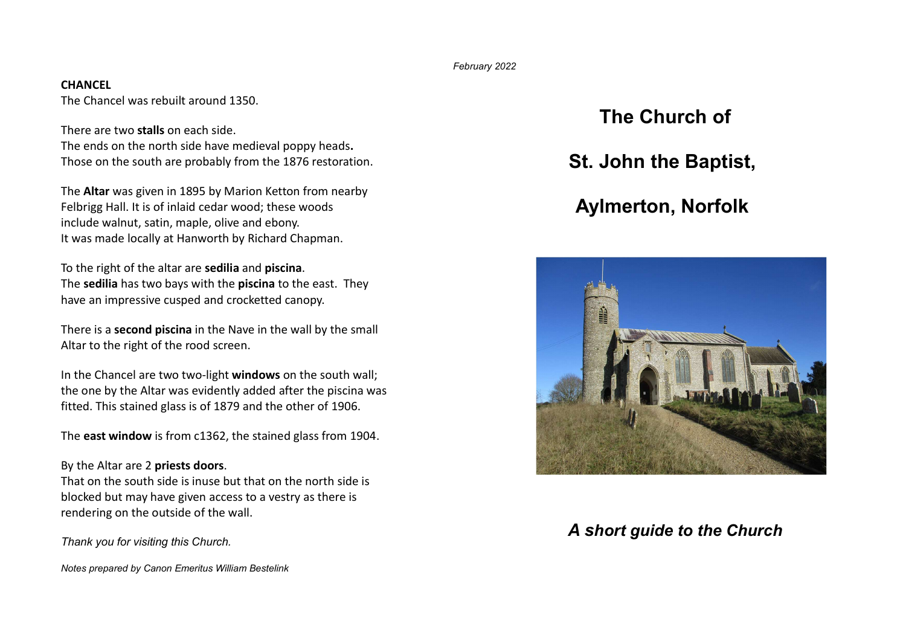February 2022

## **CHANCEL**

The Chancel was rebuilt around 1350.

There are two stalls on each side. The ends on the north side have medieval poppy heads. Those on the south are probably from the 1876 restoration.

The Altar was given in 1895 by Marion Ketton from nearby Felbrigg Hall. It is of inlaid cedar wood; these woods include walnut, satin, maple, olive and ebony. It was made locally at Hanworth by Richard Chapman.

To the right of the altar are sedilia and piscina. The sedilia has two bays with the piscina to the east. They have an impressive cusped and crocketted canopy.

There is a **second piscina** in the Nave in the wall by the small Altar to the right of the rood screen.

In the Chancel are two two-light windows on the south wall; the one by the Altar was evidently added after the piscina was fitted. This stained glass is of 1879 and the other of 1906.

The east window is from c1362, the stained glass from 1904.

## By the Altar are 2 priests doors.

That on the south side is inuse but that on the north side is blocked but may have given access to a vestry as there is rendering on the outside of the wall.

Thank you for visiting this Church.

Notes prepared by Canon Emeritus William Bestelink

# The Church of

St. John the Baptist,

## Aylmerton, Norfolk



## A short guide to the Church